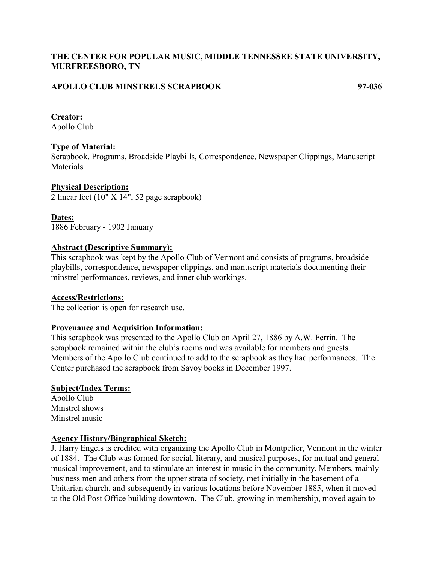# **THE CENTER FOR POPULAR MUSIC, MIDDLE TENNESSEE STATE UNIVERSITY, MURFREESBORO, TN**

### **APOLLO CLUB MINSTRELS SCRAPBOOK 97-036**

#### **Creator:**

Apollo Club

### **Type of Material:**

Scrapbook, Programs, Broadside Playbills, Correspondence, Newspaper Clippings, Manuscript **Materials** 

#### **Physical Description:**

 $\overline{2}$  linear feet (10"  $\overline{X}$  14", 52 page scrapbook)

### **Dates:**

1886 February - 1902 January

### **Abstract (Descriptive Summary):**

This scrapbook was kept by the Apollo Club of Vermont and consists of programs, broadside playbills, correspondence, newspaper clippings, and manuscript materials documenting their minstrel performances, reviews, and inner club workings.

### **Access/Restrictions:**

The collection is open for research use.

### **Provenance and Acquisition Information:**

This scrapbook was presented to the Apollo Club on April 27, 1886 by A.W. Ferrin. The scrapbook remained within the club's rooms and was available for members and guests. Members of the Apollo Club continued to add to the scrapbook as they had performances. The Center purchased the scrapbook from Savoy books in December 1997.

### **Subject/Index Terms:**

Apollo Club Minstrel shows Minstrel music

### **Agency History/Biographical Sketch:**

J. Harry Engels is credited with organizing the Apollo Club in Montpelier, Vermont in the winter of 1884. The Club was formed for social, literary, and musical purposes, for mutual and general musical improvement, and to stimulate an interest in music in the community. Members, mainly business men and others from the upper strata of society, met initially in the basement of a Unitarian church, and subsequently in various locations before November 1885, when it moved to the Old Post Office building downtown. The Club, growing in membership, moved again to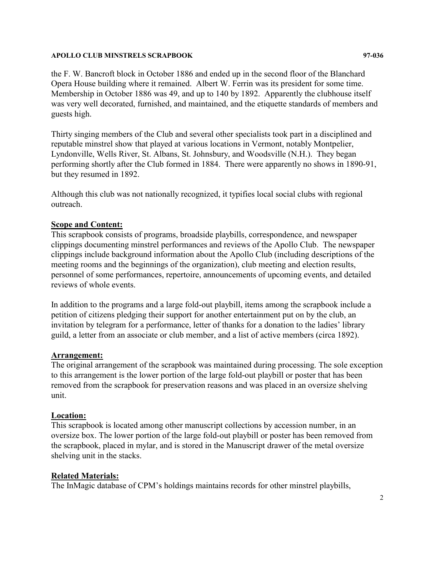#### **APOLLO CLUB MINSTRELS SCRAPBOOK 97-036**

the F. W. Bancroft block in October 1886 and ended up in the second floor of the Blanchard Opera House building where it remained. Albert W. Ferrin was its president for some time. Membership in October 1886 was 49, and up to 140 by 1892. Apparently the clubhouse itself was very well decorated, furnished, and maintained, and the etiquette standards of members and guests high.

Thirty singing members of the Club and several other specialists took part in a disciplined and reputable minstrel show that played at various locations in Vermont, notably Montpelier, Lyndonville, Wells River, St. Albans, St. Johnsbury, and Woodsville (N.H.). They began performing shortly after the Club formed in 1884. There were apparently no shows in 1890-91, but they resumed in 1892.

Although this club was not nationally recognized, it typifies local social clubs with regional outreach.

# **Scope and Content:**

This scrapbook consists of programs, broadside playbills, correspondence, and newspaper clippings documenting minstrel performances and reviews of the Apollo Club. The newspaper clippings include background information about the Apollo Club (including descriptions of the meeting rooms and the beginnings of the organization), club meeting and election results, personnel of some performances, repertoire, announcements of upcoming events, and detailed reviews of whole events.

In addition to the programs and a large fold-out playbill, items among the scrapbook include a petition of citizens pledging their support for another entertainment put on by the club, an invitation by telegram for a performance, letter of thanks for a donation to the ladies' library guild, a letter from an associate or club member, and a list of active members (circa 1892).

### **Arrangement:**

The original arrangement of the scrapbook was maintained during processing. The sole exception to this arrangement is the lower portion of the large fold-out playbill or poster that has been removed from the scrapbook for preservation reasons and was placed in an oversize shelving unit.

# **Location:**

This scrapbook is located among other manuscript collections by accession number, in an oversize box. The lower portion of the large fold-out playbill or poster has been removed from the scrapbook, placed in mylar, and is stored in the Manuscript drawer of the metal oversize shelving unit in the stacks.

# **Related Materials:**

The InMagic database of CPM's holdings maintains records for other minstrel playbills,